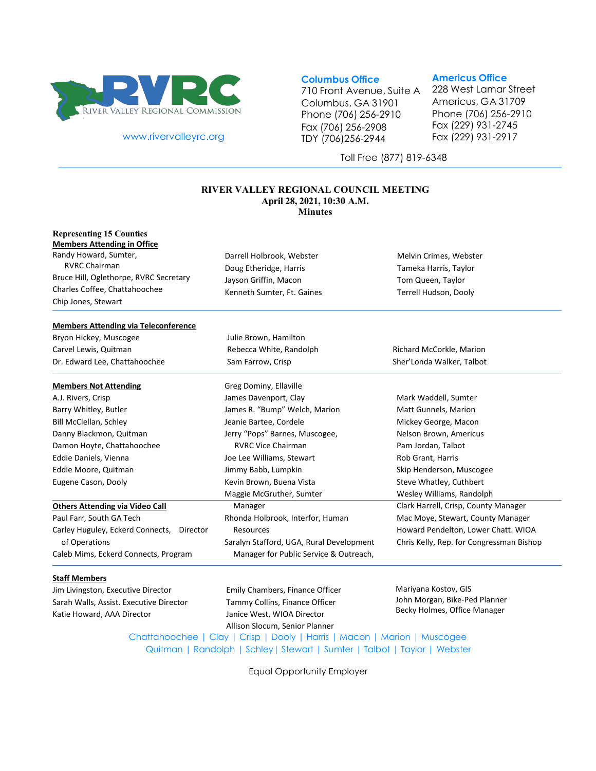

[www.rivervalleyrc.org](http://www.rivervalleyrc.org/)

### **Columbus Office**

710 Front Avenue, Suite A Columbus, GA 31901 Phone (706) 256-2910 Fax (706) 256-2908 TDY (706)256-2944

### **Americus Office**

228 West Lamar Street Americus, GA 31709 Phone (706) 256-2910 Fax (229) 931-2745 Fax (229) 931-2917

Toll Free (877) 819-6348

#### **RIVER VALLEY REGIONAL COUNCIL MEETING April 28, 2021, 10:30 A.M. Minutes**

#### **Representing 15 Counties Members Attending in Office**

Randy Howard, Sumter, RVRC Chairman Bruce Hill, Oglethorpe, RVRC Secretary Charles Coffee, Chattahoochee Chip Jones, Stewart

Darrell Holbrook, Webster Doug Etheridge, Harris Jayson Griffin, Macon Kenneth Sumter, Ft. Gaines

Julie Brown, Hamilton Rebecca White, Randolph Sam Farrow, Crisp

Greg Dominy, Ellaville James Davenport, Clay

Jeanie Bartee, Cordele

Manager

Resources

James R. "Bump" Welch, Marion

Jerry "Pops" Barnes, Muscogee, RVRC Vice Chairman Joe Lee Williams, Stewart Jimmy Babb, Lumpkin Kevin Brown, Buena Vista Maggie McGruther, Sumter

Melvin Crimes, Webster Tameka Harris, Taylor Tom Queen, Taylor Terrell Hudson, Dooly

#### **Members Attending via Teleconference**

Bryon Hickey, Muscogee Carvel Lewis, Quitman Dr. Edward Lee, Chattahoochee

#### **Members Not Attending**

A.J. Rivers, Crisp Barry Whitley, Butler Bill McClellan, Schley Danny Blackmon, Quitman Damon Hoyte, Chattahoochee Eddie Daniels, Vienna Eddie Moore, Quitman Eugene Cason, Dooly

#### **Others Attending via Video Call**

Paul Farr, South GA Tech Carley Huguley, Eckerd Connects, Director of Operations Caleb Mims, Eckerd Connects, Program

#### **Staff Members**

Jim Livingston, Executive Director Sarah Walls, Assist. Executive Director Katie Howard, AAA Director

Emily Chambers, Finance Officer Tammy Collins, Finance Officer Janice West, WIOA Director

Rhonda Holbrook, Interfor, Human

Saralyn Stafford, UGA, Rural Development Manager for Public Service & Outreach,

Allison Slocum, Senior Planner

Mariyana Kostov, GIS John Morgan, Bike-Ped Planner Becky Holmes, Office Manager

Chattahoochee | Clay | Crisp | Dooly | Harris | Macon | Marion | Muscogee Quitman | Randolph | Schley| Stewart | Sumter | Talbot | Taylor | Webster

Equal Opportunity Employer

Richard McCorkle, Marion

Sher'Londa Walker, Talbot

Mark Waddell, Sumter

Matt Gunnels, Marion Mickey George, Macon Nelson Brown, Americus Pam Jordan, Talbot Rob Grant, Harris Skip Henderson, Muscogee Steve Whatley, Cuthbert Wesley Williams, Randolph Clark Harrell, Crisp, County Manager Mac Moye, Stewart, County Manager Howard Pendelton, Lower Chatt. WIOA Chris Kelly, Rep. for Congressman Bishop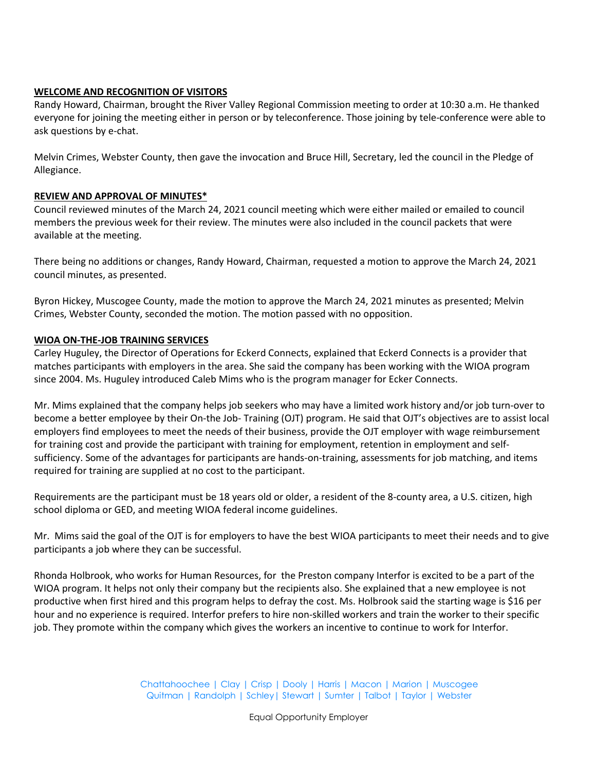# **WELCOME AND RECOGNITION OF VISITORS**

Randy Howard, Chairman, brought the River Valley Regional Commission meeting to order at 10:30 a.m. He thanked everyone for joining the meeting either in person or by teleconference. Those joining by tele-conference were able to ask questions by e-chat.

Melvin Crimes, Webster County, then gave the invocation and Bruce Hill, Secretary, led the council in the Pledge of Allegiance.

# **REVIEW AND APPROVAL OF MINUTES\***

Council reviewed minutes of the March 24, 2021 council meeting which were either mailed or emailed to council members the previous week for their review. The minutes were also included in the council packets that were available at the meeting.

There being no additions or changes, Randy Howard, Chairman, requested a motion to approve the March 24, 2021 council minutes, as presented.

Byron Hickey, Muscogee County, made the motion to approve the March 24, 2021 minutes as presented; Melvin Crimes, Webster County, seconded the motion. The motion passed with no opposition.

# **WIOA ON-THE-JOB TRAINING SERVICES**

Carley Huguley, the Director of Operations for Eckerd Connects, explained that Eckerd Connects is a provider that matches participants with employers in the area. She said the company has been working with the WIOA program since 2004. Ms. Huguley introduced Caleb Mims who is the program manager for Ecker Connects.

Mr. Mims explained that the company helps job seekers who may have a limited work history and/or job turn-over to become a better employee by their On-the Job- Training (OJT) program. He said that OJT's objectives are to assist local employers find employees to meet the needs of their business, provide the OJT employer with wage reimbursement for training cost and provide the participant with training for employment, retention in employment and selfsufficiency. Some of the advantages for participants are hands-on-training, assessments for job matching, and items required for training are supplied at no cost to the participant.

Requirements are the participant must be 18 years old or older, a resident of the 8-county area, a U.S. citizen, high school diploma or GED, and meeting WIOA federal income guidelines.

Mr. Mims said the goal of the OJT is for employers to have the best WIOA participants to meet their needs and to give participants a job where they can be successful.

Rhonda Holbrook, who works for Human Resources, for the Preston company Interfor is excited to be a part of the WIOA program. It helps not only their company but the recipients also. She explained that a new employee is not productive when first hired and this program helps to defray the cost. Ms. Holbrook said the starting wage is \$16 per hour and no experience is required. Interfor prefers to hire non-skilled workers and train the worker to their specific job. They promote within the company which gives the workers an incentive to continue to work for Interfor.

> Chattahoochee | Clay | Crisp | Dooly | Harris | Macon | Marion | Muscogee Quitman | Randolph | Schley| Stewart | Sumter | Talbot | Taylor | Webster

> > Equal Opportunity Employer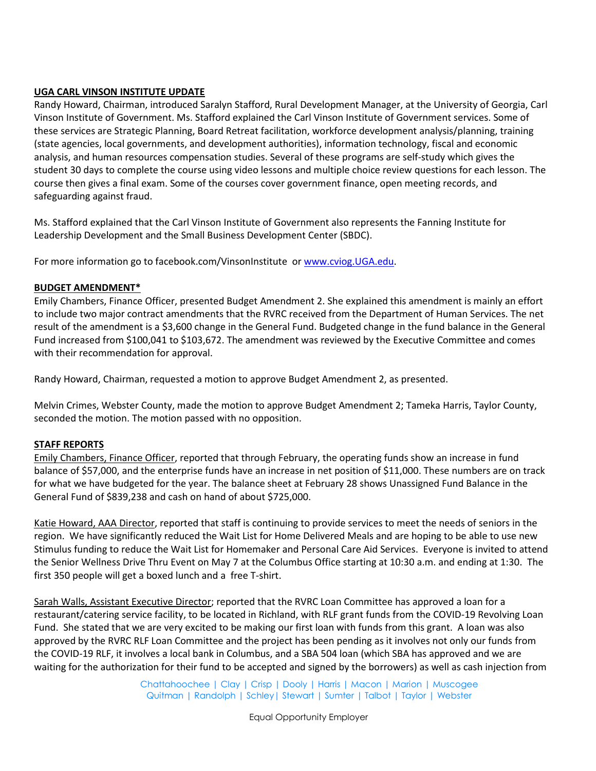# **UGA CARL VINSON INSTITUTE UPDATE**

Randy Howard, Chairman, introduced Saralyn Stafford, Rural Development Manager, at the University of Georgia, Carl Vinson Institute of Government. Ms. Stafford explained the Carl Vinson Institute of Government services. Some of these services are Strategic Planning, Board Retreat facilitation, workforce development analysis/planning, training (state agencies, local governments, and development authorities), information technology, fiscal and economic analysis, and human resources compensation studies. Several of these programs are self-study which gives the student 30 days to complete the course using video lessons and multiple choice review questions for each lesson. The course then gives a final exam. Some of the courses cover government finance, open meeting records, and safeguarding against fraud.

Ms. Stafford explained that the Carl Vinson Institute of Government also represents the Fanning Institute for Leadership Development and the Small Business Development Center (SBDC).

For more information go to facebook.com/VinsonInstitute or [www.cviog.UGA.edu.](http://www.cviog.uga.edu/)

# **BUDGET AMENDMENT\***

Emily Chambers, Finance Officer, presented Budget Amendment 2. She explained this amendment is mainly an effort to include two major contract amendments that the RVRC received from the Department of Human Services. The net result of the amendment is a \$3,600 change in the General Fund. Budgeted change in the fund balance in the General Fund increased from \$100,041 to \$103,672. The amendment was reviewed by the Executive Committee and comes with their recommendation for approval.

Randy Howard, Chairman, requested a motion to approve Budget Amendment 2, as presented.

Melvin Crimes, Webster County, made the motion to approve Budget Amendment 2; Tameka Harris, Taylor County, seconded the motion. The motion passed with no opposition.

# **STAFF REPORTS**

Emily Chambers, Finance Officer, reported that through February, the operating funds show an increase in fund balance of \$57,000, and the enterprise funds have an increase in net position of \$11,000. These numbers are on track for what we have budgeted for the year. The balance sheet at February 28 shows Unassigned Fund Balance in the General Fund of \$839,238 and cash on hand of about \$725,000.

Katie Howard, AAA Director, reported that staff is continuing to provide services to meet the needs of seniors in the region. We have significantly reduced the Wait List for Home Delivered Meals and are hoping to be able to use new Stimulus funding to reduce the Wait List for Homemaker and Personal Care Aid Services. Everyone is invited to attend the Senior Wellness Drive Thru Event on May 7 at the Columbus Office starting at 10:30 a.m. and ending at 1:30. The first 350 people will get a boxed lunch and a free T-shirt.

Sarah Walls, Assistant Executive Director; reported that the RVRC Loan Committee has approved a loan for a restaurant/catering service facility, to be located in Richland, with RLF grant funds from the COVID-19 Revolving Loan Fund. She stated that we are very excited to be making our first loan with funds from this grant. A loan was also approved by the RVRC RLF Loan Committee and the project has been pending as it involves not only our funds from the COVID-19 RLF, it involves a local bank in Columbus, and a SBA 504 loan (which SBA has approved and we are waiting for the authorization for their fund to be accepted and signed by the borrowers) as well as cash injection from

> Chattahoochee | Clay | Crisp | Dooly | Harris | Macon | Marion | Muscogee Quitman | Randolph | Schley| Stewart | Sumter | Talbot | Taylor | Webster

> > Equal Opportunity Employer